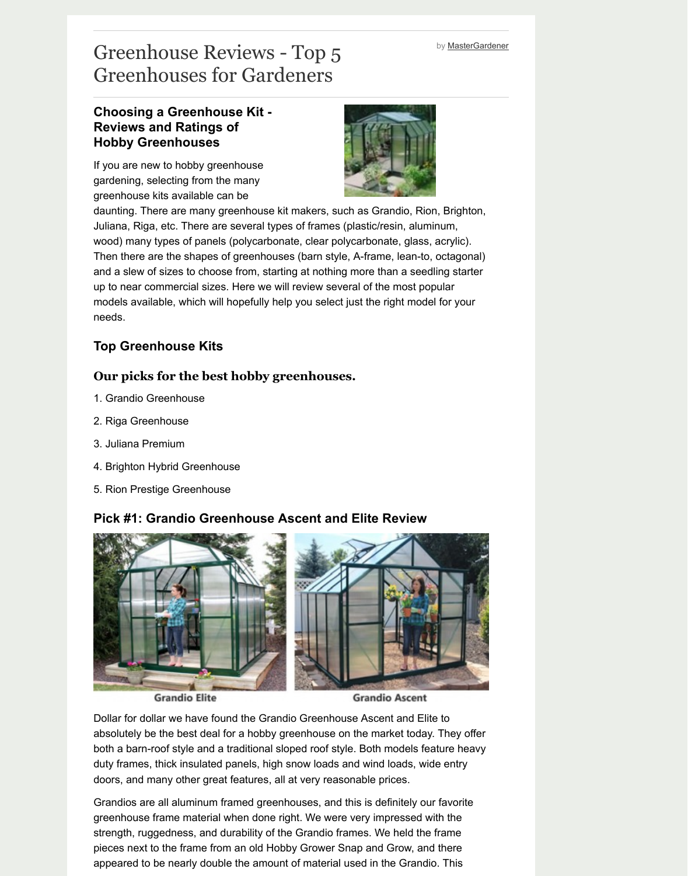and a slew of sizes to choose from, starting at nothing more than a seedling starter up to near commercial sizes. Here we will review several of the most popular models available, which will hopefully help you select just the right model for yo needs.

## **Top Greenhouse Kits**

## **Our picks for the best hobby greenhouses.**

- 1. Grandio Greenhouse
- 2. Riga Greenhouse
- 3. Juliana Premium
- 4. Brighton Hybrid Greenhouse
- 5. Rion Prestige Greenhouse

## **Pick #1: Grandio Greenhouse Ascent and Elite Review**



**Grandio Elite** 

**Grandio Ascent** 

Dollar for dollar we have found the Grandio Greenhouse Ascent and Elite to absolutely be the best deal for a hobby greenhouse on the market today. They both a barn-roof style and a traditional sloped roof style. Both models feature he duty frames, thick insulated panels, high snow loads and wind loads, wide entry doors, and many other great features, all at very reasonable prices.

Grandios are all aluminum framed greenhouses, and this is definitely our favority greenhouse frame material when done right. We were very impressed with the strength, ruggedness, and durability of the Grandio frames. We held the frame pieces next to the frame from an old Hobby Grower Snap and Grow, and there appeared to be nearly double the amount of material used in the Grandio. This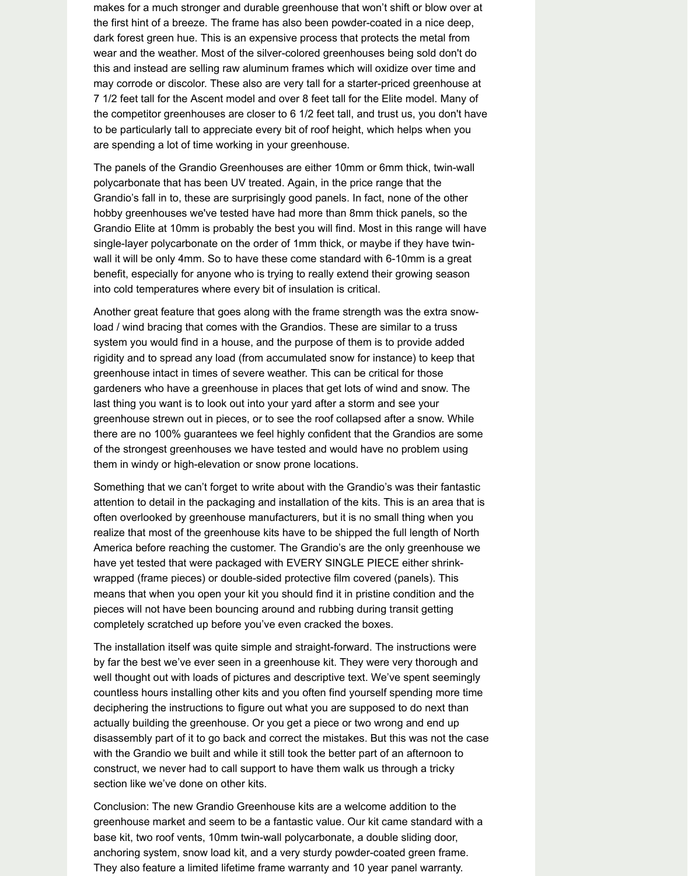makes for a much stronger and durable greenhouse that won't shift or blow over at the first hint of a breeze. The frame has also been powder-coated in a nice deep, dark forest green hue. This is an expensive process that protects the metal from wear and the weather. Most of the silver-colored greenhouses being sold don't do this and instead are selling raw aluminum frames which will oxidize over time and may corrode or discolor. These also are very tall for a starter-priced greenhouse at 7 1/2 feet tall for the Ascent model and over 8 feet tall for the Elite model. Many of the competitor greenhouses are closer to 6 1/2 feet tall, and trust us, you don't have to be particularly tall to appreciate every bit of roof height, which helps when you are spending a lot of time working in your greenhouse.

The panels of the Grandio Greenhouses are either 10mm or 6mm thick, twin-wall polycarbonate that has been UV treated. Again, in the price range that the Grandio's fall in to, these are surprisingly good panels. In fact, none of the other hobby greenhouses we've tested have had more than 8mm thick panels, so the Grandio Elite at 10mm is probably the best you will find. Most in this range will have single-layer polycarbonate on the order of 1mm thick, or maybe if they have twinwall it will be only 4mm. So to have these come standard with 6-10mm is a great benefit, especially for anyone who is trying to really extend their growing season into cold temperatures where every bit of insulation is critical.

Another great feature that goes along with the frame strength was the extra snowload / wind bracing that comes with the Grandios. These are similar to a truss system you would find in a house, and the purpose of them is to provide added rigidity and to spread any load (from accumulated snow for instance) to keep that greenhouse intact in times of severe weather. This can be critical for those gardeners who have a greenhouse in places that get lots of wind and snow. The last thing you want is to look out into your yard after a storm and see your greenhouse strewn out in pieces, or to see the roof collapsed after a snow. While there are no 100% guarantees we feel highly confident that the Grandios are some of the strongest greenhouses we have tested and would have no problem using them in windy or high-elevation or snow prone locations.

Something that we can't forget to write about with the Grandio's was their fantastic attention to detail in the packaging and installation of the kits. This is an area that is often overlooked by greenhouse manufacturers, but it is no small thing when you realize that most of the greenhouse kits have to be shipped the full length of North America before reaching the customer. The Grandio's are the only greenhouse we have yet tested that were packaged with EVERY SINGLE PIECE either shrinkwrapped (frame pieces) or double-sided protective film covered (panels). This means that when you open your kit you should find it in pristine condition and the pieces will not have been bouncing around and rubbing during transit getting completely scratched up before you've even cracked the boxes.

The installation itself was quite simple and straight-forward. The instructions were by far the best we've ever seen in a greenhouse kit. They were very thorough and well thought out with loads of pictures and descriptive text. We've spent seemingly

countless hours installing other kits and you often find yourself spending more time deciphering the instructions to figure out what you are supposed to do next than actually building the greenhouse. Or you get a piece or two wrong and end up disassembly part of it to go back and correct the mistakes. But this was not the case with the Grandio we built and while it still took the better part of an afternoon to construct, we never had to call support to have them walk us through a tricky section like we've done on other kits.

Conclusion: The new Grandio Greenhouse kits are a welcome addition to the greenhouse market and seem to be a fantastic value. Our kit came standard with a base kit, two roof vents, 10mm twin-wall polycarbonate, a double sliding door, anchoring system, snow load kit, and a very sturdy powder-coated green frame. They also feature a limited lifetime frame warranty and 10 year panel warranty.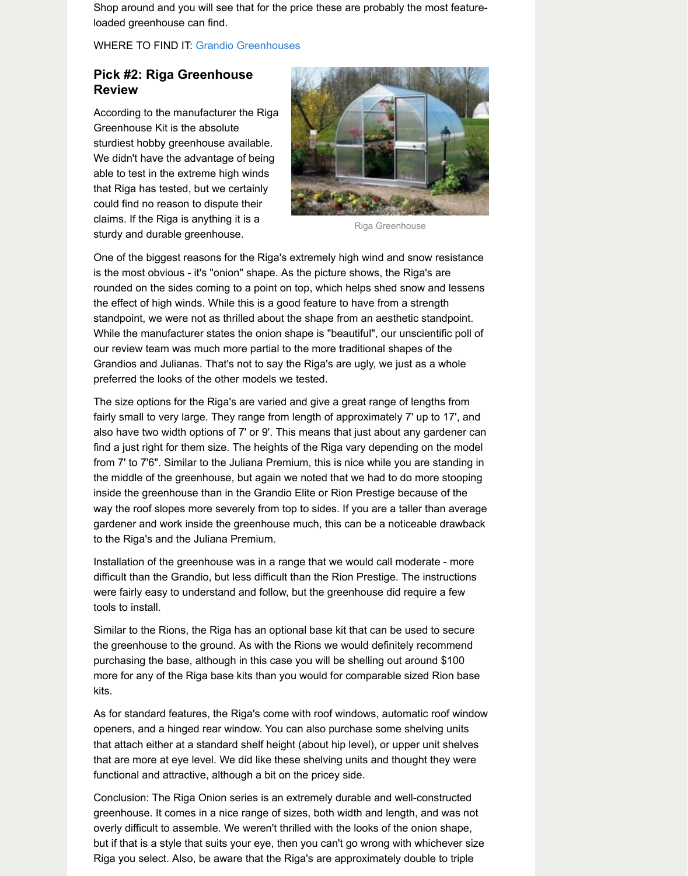is the most obvious - it's "onion" shape. As the picture shows, the Riga's are rounded on the sides coming to a point on top, which helps shed snow and less the effect of high winds. While this is a good feature to have from a strength standpoint, we were [not as thrilled about the](http://www.grandiogreenhouses.com/) shape from an aesthetic standpoir While the manufacturer states the onion shape is "beautiful", our unscientific port our review team was much more partial to the more traditional shapes of the Grandios and Julianas. That's not to say the Riga's are ugly, we just as a whole preferred the looks of the other models we tested.

The size options for the Riga's are varied and give a great range of lengths from fairly small to very large. They range from length of approximately 7' up to 17', and also have two width options of 7' or 9'. This means that just about any gardener find a just right for them size. The heights of the Riga vary depending on the mo from 7' to 7'6". Similar to the Juliana Premium, this is nice while you are standing the middle of the greenhouse, but again we noted that we had to do more stoop inside the greenhouse than in the Grandio Elite or Rion Prestige because of the way the roof slopes more severely from top to sides. If you are a taller than ave gardener and work inside the greenhouse much, this can be a noticeable drawl to the Riga's and the Juliana Premium.

Installation of the greenhouse was in a range that we would call moderate - mo difficult than the Grandio, but less difficult than the Rion Prestige. The instruction were fairly easy to understand and follow, but the greenhouse did require a few tools to install.

Similar to the Rions, the Riga has an optional base kit that can be used to secure the greenhouse to the ground. As with the Rions we would definitely recommer purchasing the base, although in this case you will be shelling out around \$100 more for any of the Riga base kits than you would for comparable sized Rion base kits.

As for standard features, the Riga's come with roof windows, automatic roof win openers, and a hinged rear window. You can also purchase some shelving units that attach either at a standard shelf height (about hip level), or upper unit shelve that are more at eye level. We did like these shelving units and thought they we functional and attractive, although a bit on the pricey side.

Conclusion: The Riga Onion series is an extremely durable and well-constructe greenhouse. It comes in a nice range of sizes, both width and length, and was i overly difficult to assemble. We weren't thrilled with the looks of the onion shape, but if that is a style that suits your eye, then you can't go wrong with whichever Riga you select. Also, be aware that the Riga's are approximately double to trip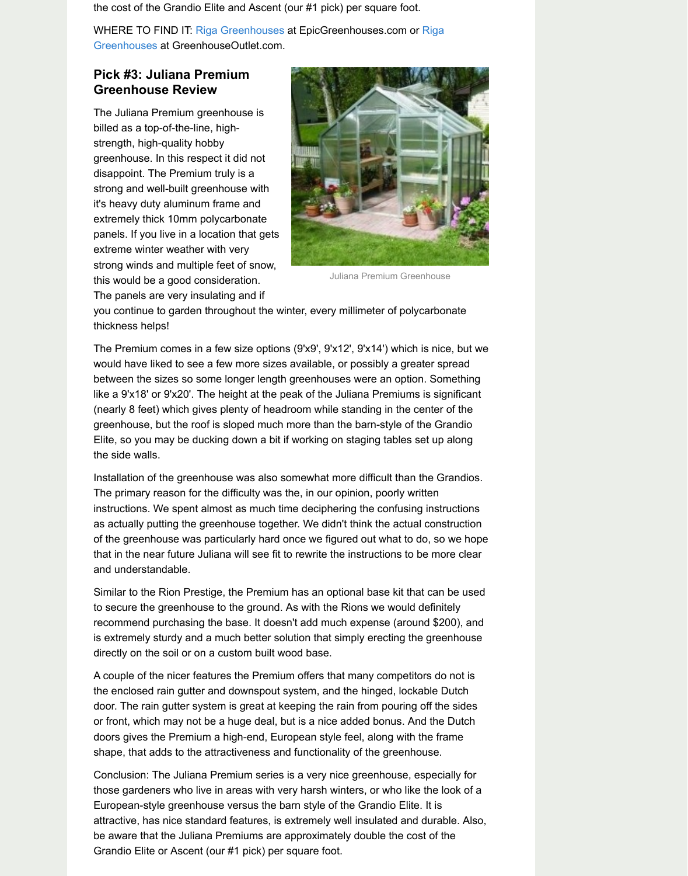Juliana Premium Greenhouse this would be a good consideration.

The panels are very insulating and if

[you continue to garden throughout the winter, every millimeter of polycarbo](http://www.greenhouseoutlet.com/rigagreenhouses.shtml)nate thickness helps!

The Premium comes in a few size options (9'x9', 9'x12', 9'x14') which is nice, but would have liked to see a few more sizes available, or possibly a greater spread between the sizes so some longer length greenhouses were an option. Someth like a 9'x18' or 9'x20'. The height at the peak of the Juliana Premiums is signific (nearly 8 feet) which gives plenty of headroom while standing in the center of the greenhouse, but the roof is sloped much more than the barn-style of the Grandi Elite, so you may be ducking down a bit if working on staging tables set up along the side walls.

Installation of the greenhouse was also somewhat more difficult than the Grand The primary reason for the difficulty was the, in our opinion, poorly written instructions. We spent almost as much time deciphering the confusing instructions as actually putting the greenhouse together. We didn't think the actual construc of the greenhouse was particularly hard once we figured out what to do, so we that in the near future Juliana will see fit to rewrite the instructions to be more cl and understandable.

Similar to the Rion Prestige, the Premium has an optional base kit that can be us to secure the greenhouse to the ground. As with the Rions we would definitely recommend purchasing the base. It doesn't add much expense (around \$200), is extremely sturdy and a much better solution that simply erecting the greenhouse directly on the soil or on a custom built wood base.

A couple of the nicer features the Premium offers that many competitors do not the enclosed rain gutter and downspout system, and the hinged, lockable Dutch door. The rain gutter system is great at keeping the rain from pouring off the sid or front, which may not be a huge deal, but is a nice added bonus. And the Dute doors gives the Premium a high-end, European style feel, along with the frame shape, that adds to the attractiveness and functionality of the greenhouse.

Conclusion: The Juliana Premium series is a very nice greenhouse, especially for those gardeners who live in areas with very harsh winters, or who like the look European-style greenhouse versus the barn style of the Grandio Elite. It is attractive, has nice standard features, is extremely well insulated and durable. be aware that the Juliana Premiums are approximately double the cost of the Grandio Elite or Ascent (our #1 pick) per square foot.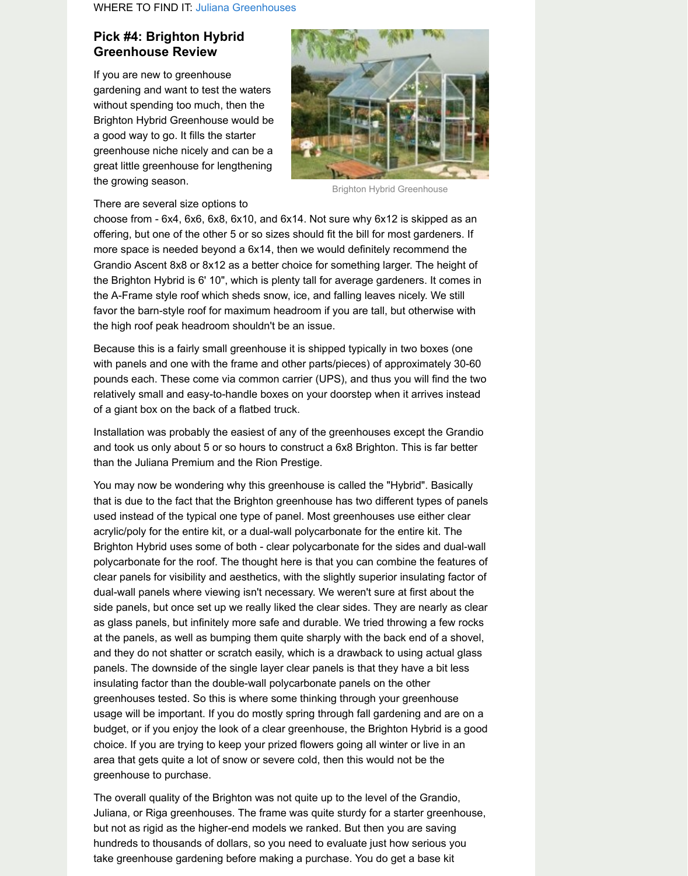the Brighton Hybrid is [6' 10", which is plenty](http://www.julianagreenhousekit.com/) tall for average gardeners. It come the A-Frame style roof which sheds snow, ice, and falling leaves nicely. We still favor the barn-style roof for maximum headroom if you are tall, but otherwise w the high roof peak headroom shouldn't be an issue.

Because this is a fairly small greenhouse it is shipped typically in two boxes (or with panels and one with the frame and other parts/pieces) of approximately 30pounds each. These come via common carrier (UPS), and thus you will find the relatively small and easy-to-handle boxes on your doorstep when it arrives inste of a giant box on the back of a flatbed truck.

Installation was probably the easiest of any of the greenhouses except the Grandista. and took us only about 5 or so hours to construct a 6x8 Brighton. This is far bet than the Juliana Premium and the Rion Prestige.

You may now be wondering why this greenhouse is called the "Hybrid". Basical that is due to the fact that the Brighton greenhouse has two different types of pa used instead of the typical one type of panel. Most greenhouses use either clear acrylic/poly for the entire kit, or a dual-wall polycarbonate for the entire kit. The Brighton Hybrid uses some of both - clear polycarbonate for the sides and dualpolycarbonate for the roof. The thought here is that you can combine the feature clear panels for visibility and aesthetics, with the slightly superior insulating fact dual-wall panels where viewing isn't necessary. We weren't sure at first about the side panels, but once set up we really liked the clear sides. They are nearly as as glass panels, but infinitely more safe and durable. We tried throwing a few ro at the panels, as well as bumping them quite sharply with the back end of a show and they do not shatter or scratch easily, which is a drawback to using actual glass panels. The downside of the single layer clear panels is that they have a bit lese insulating factor than the double-wall polycarbonate panels on the other greenhouses tested. So this is where some thinking through your greenhouse usage will be important. If you do mostly spring through fall gardening and are on budget, or if you enjoy the look of a clear greenhouse, the Brighton Hybrid is a choice. If you are trying to keep your prized flowers going all winter or live in an area that gets quite a lot of snow or severe cold, then this would not be the greenhouse to purchase.

The overall quality of the Brighton was not quite up to the level of the Grandio, Juliana, or Riga greenhouses. The frame was quite sturdy for a starter greenho but not as rigid as the higher-end models we ranked. But then you are saving hundreds to thousands of dollars, so you need to evaluate just how serious you take greenhouse gardening before making a purchase. You do get a base kit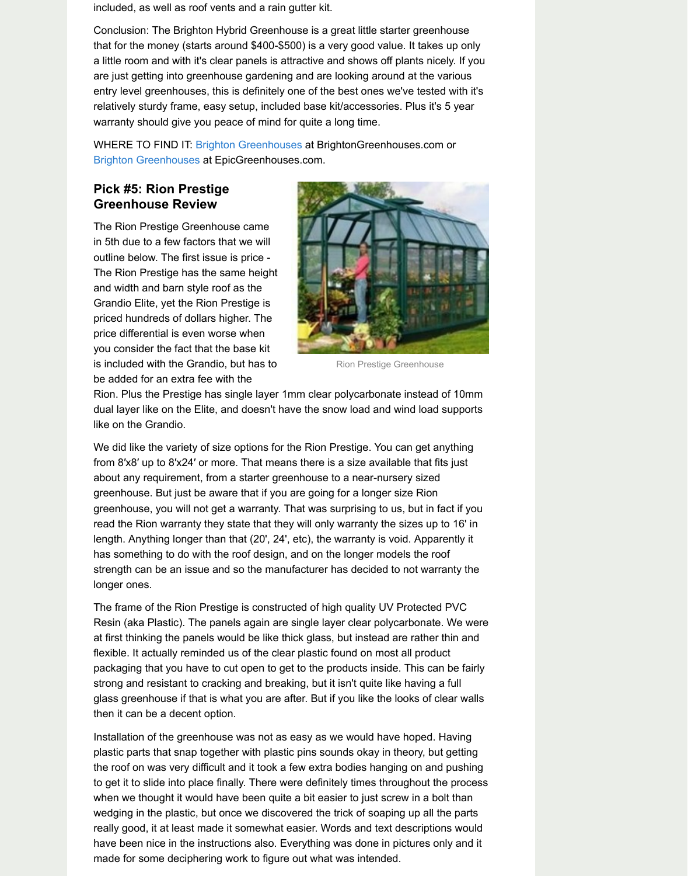The Rion Prestige has the same height and width and barn style roof as the Grandio Elite, yet the Rion Prestige is priced hundreds of dollars higher. The price differential is even worse when you consider the fact that the base kit is included with the Grandio, but has to be added for an extra fee with the



Rion Prestige Greenhouse

Rion. Plus the Prestige has single layer 1mm clear polycarbonate instead of 10 dual layer like on the [Elite, and doesn](http://brightongreenhouses.com/)'[t have](http://brightongreenhouses.com/) the snow load and wind load supp [like on the Grandio.](http://epicgreenhouses.com/brighton-greenhouses.php/)

We did like the variety of size options for the Rion Prestige. You can get anything from 8'x8' up to 8'x24' or more. That means there is a size available that fits just about any requirement, from a starter greenhouse to a near-nursery sized greenhouse. But just be aware that if you are going for a longer size Rion greenhouse, you will not get a warranty. That was surprising to us, but in fact if read the Rion warranty they state that they will only warranty the sizes up to 16 length. Anything longer than that (20', 24', etc), the warranty is void. Apparently has something to do with the roof design, and on the longer models the roof strength can be an issue and so the manufacturer has decided to not warranty longer ones.

The frame of the Rion Prestige is constructed of high quality UV Protected PVC Resin (aka Plastic). The panels again are single layer clear polycarbonate. We at first thinking the panels would be like thick glass, but instead are rather thin and flexible. It actually reminded us of the clear plastic found on most all product packaging that you have to cut open to get to the products inside. This can be f strong and resistant to cracking and breaking, but it isn't quite like having a full glass greenhouse if that is what you are after. But if you like the looks of clear w then it can be a decent option.

Installation of the greenhouse was not as easy as we would have hoped. Having plastic parts that snap together with plastic pins sounds okay in theory, but getting the roof on was very difficult and it took a few extra bodies hanging on and pushing to get it to slide into place finally. There were definitely times throughout the pro when we thought it would have been quite a bit easier to just screw in a bolt than wedging in the plastic, but once we discovered the trick of soaping up all the parties. really good, it at least made it somewhat easier. Words and text descriptions wo have been nice in the instructions also. Everything was done in pictures only are made for some deciphering work to figure out what was intended.